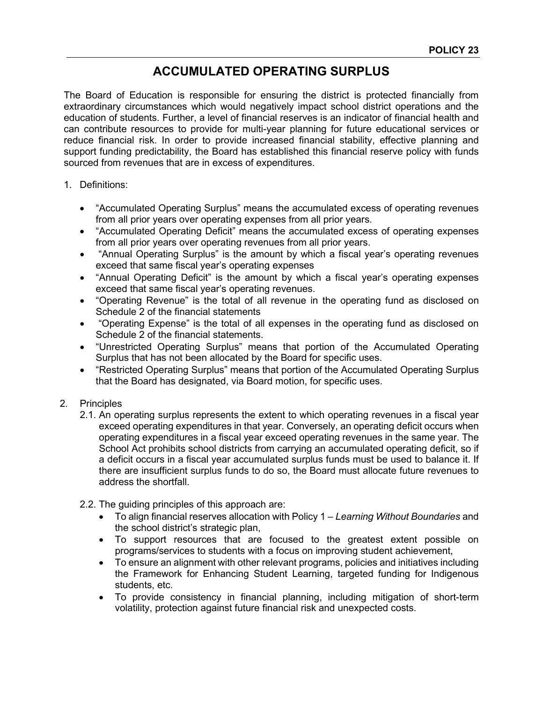## **ACCUMULATED OPERATING SURPLUS**

The Board of Education is responsible for ensuring the district is protected financially from extraordinary circumstances which would negatively impact school district operations and the education of students. Further, a level of financial reserves is an indicator of financial health and can contribute resources to provide for multi-year planning for future educational services or reduce financial risk. In order to provide increased financial stability, effective planning and support funding predictability, the Board has established this financial reserve policy with funds sourced from revenues that are in excess of expenditures.

- 1. Definitions:
	- "Accumulated Operating Surplus" means the accumulated excess of operating revenues from all prior years over operating expenses from all prior years.
	- "Accumulated Operating Deficit" means the accumulated excess of operating expenses from all prior years over operating revenues from all prior years.
	- "Annual Operating Surplus" is the amount by which a fiscal year's operating revenues exceed that same fiscal year's operating expenses
	- "Annual Operating Deficit" is the amount by which a fiscal year's operating expenses exceed that same fiscal year's operating revenues.
	- "Operating Revenue" is the total of all revenue in the operating fund as disclosed on Schedule 2 of the financial statements
	- "Operating Expense" is the total of all expenses in the operating fund as disclosed on Schedule 2 of the financial statements.
	- "Unrestricted Operating Surplus" means that portion of the Accumulated Operating Surplus that has not been allocated by the Board for specific uses.
	- "Restricted Operating Surplus" means that portion of the Accumulated Operating Surplus that the Board has designated, via Board motion, for specific uses.
- 2. Principles
	- 2.1. An operating surplus represents the extent to which operating revenues in a fiscal year exceed operating expenditures in that year. Conversely, an operating deficit occurs when operating expenditures in a fiscal year exceed operating revenues in the same year. The School Act prohibits school districts from carrying an accumulated operating deficit, so if a deficit occurs in a fiscal year accumulated surplus funds must be used to balance it. If there are insufficient surplus funds to do so, the Board must allocate future revenues to address the shortfall.
	- 2.2. The guiding principles of this approach are:
		- To align financial reserves allocation with Policy 1 *Learning Without Boundaries* and the school district's strategic plan,
		- To support resources that are focused to the greatest extent possible on programs/services to students with a focus on improving student achievement,
		- To ensure an alignment with other relevant programs, policies and initiatives including the Framework for Enhancing Student Learning, targeted funding for Indigenous students, etc.
		- To provide consistency in financial planning, including mitigation of short-term volatility, protection against future financial risk and unexpected costs.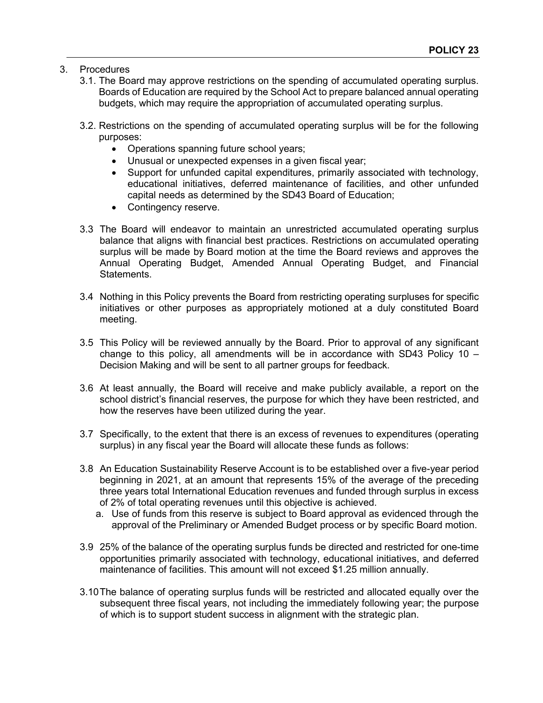- 3. Procedures
	- 3.1. The Board may approve restrictions on the spending of accumulated operating surplus. Boards of Education are required by the School Act to prepare balanced annual operating budgets, which may require the appropriation of accumulated operating surplus.
	- 3.2. Restrictions on the spending of accumulated operating surplus will be for the following purposes:
		- Operations spanning future school years;
		- Unusual or unexpected expenses in a given fiscal year;
		- Support for unfunded capital expenditures, primarily associated with technology, educational initiatives, deferred maintenance of facilities, and other unfunded capital needs as determined by the SD43 Board of Education;
		- Contingency reserve.
	- 3.3 The Board will endeavor to maintain an unrestricted accumulated operating surplus balance that aligns with financial best practices. Restrictions on accumulated operating surplus will be made by Board motion at the time the Board reviews and approves the Annual Operating Budget, Amended Annual Operating Budget, and Financial Statements.
	- 3.4 Nothing in this Policy prevents the Board from restricting operating surpluses for specific initiatives or other purposes as appropriately motioned at a duly constituted Board meeting.
	- 3.5 This Policy will be reviewed annually by the Board. Prior to approval of any significant change to this policy, all amendments will be in accordance with SD43 Policy  $10 -$ Decision Making and will be sent to all partner groups for feedback.
	- 3.6 At least annually, the Board will receive and make publicly available, a report on the school district's financial reserves, the purpose for which they have been restricted, and how the reserves have been utilized during the year.
	- 3.7 Specifically, to the extent that there is an excess of revenues to expenditures (operating surplus) in any fiscal year the Board will allocate these funds as follows:
	- 3.8 An Education Sustainability Reserve Account is to be established over a five-year period beginning in 2021, at an amount that represents 15% of the average of the preceding three years total International Education revenues and funded through surplus in excess of 2% of total operating revenues until this objective is achieved.
		- a. Use of funds from this reserve is subject to Board approval as evidenced through the approval of the Preliminary or Amended Budget process or by specific Board motion.
	- 3.9 25% of the balance of the operating surplus funds be directed and restricted for one-time opportunities primarily associated with technology, educational initiatives, and deferred maintenance of facilities. This amount will not exceed \$1.25 million annually.
	- 3.10The balance of operating surplus funds will be restricted and allocated equally over the subsequent three fiscal years, not including the immediately following year; the purpose of which is to support student success in alignment with the strategic plan.